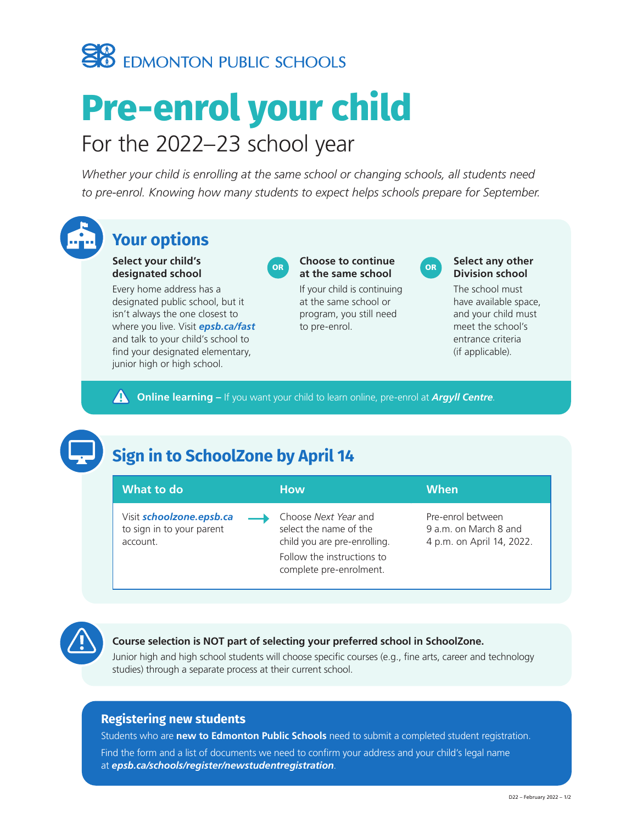

# **Pre-enrol your child** For the 2022–23 school year

*Whether your child is enrolling at the same school or changing schools, all students need to pre-enrol. Knowing how many students to expect helps schools prepare for September.* 



## **Your options**

**Select your child's designated school**

Every home address has a designated public school, but it isn't always the one closest to where you live. Visit *[epsb.ca/fast](http://epsb.ca/fast)* and talk to your child's school to find your designated elementary, junior high or high school.



#### OR **Choose to continue at the same school**

If your child is continuing at the same school or program, you still need to pre-enrol.



#### **Select any other Division school**

The school must have available space, and your child must meet the school's entrance criteria (if applicable).

**A** Online learning – If you want your child to learn online, pre-enrol at *[Argyll Centre](https://argyll.epsb.ca/)*.

## **Sign in to SchoolZone by April 14**



### **Course selection is NOT part of selecting your preferred school in SchoolZone.**

Junior high and high school students will choose specific courses (e.g., fine arts, career and technology studies) through a separate process at their current school.

## **Registering new students**

Students who are **new to Edmonton Public Schools** need to submit a completed student registration.

Find the form and a list of documents we need to confirm your address and your child's legal name at *[epsb.ca/schools/register](https://epsb.ca/schools/register/newstudentregistration/)/newstudentregistration*.